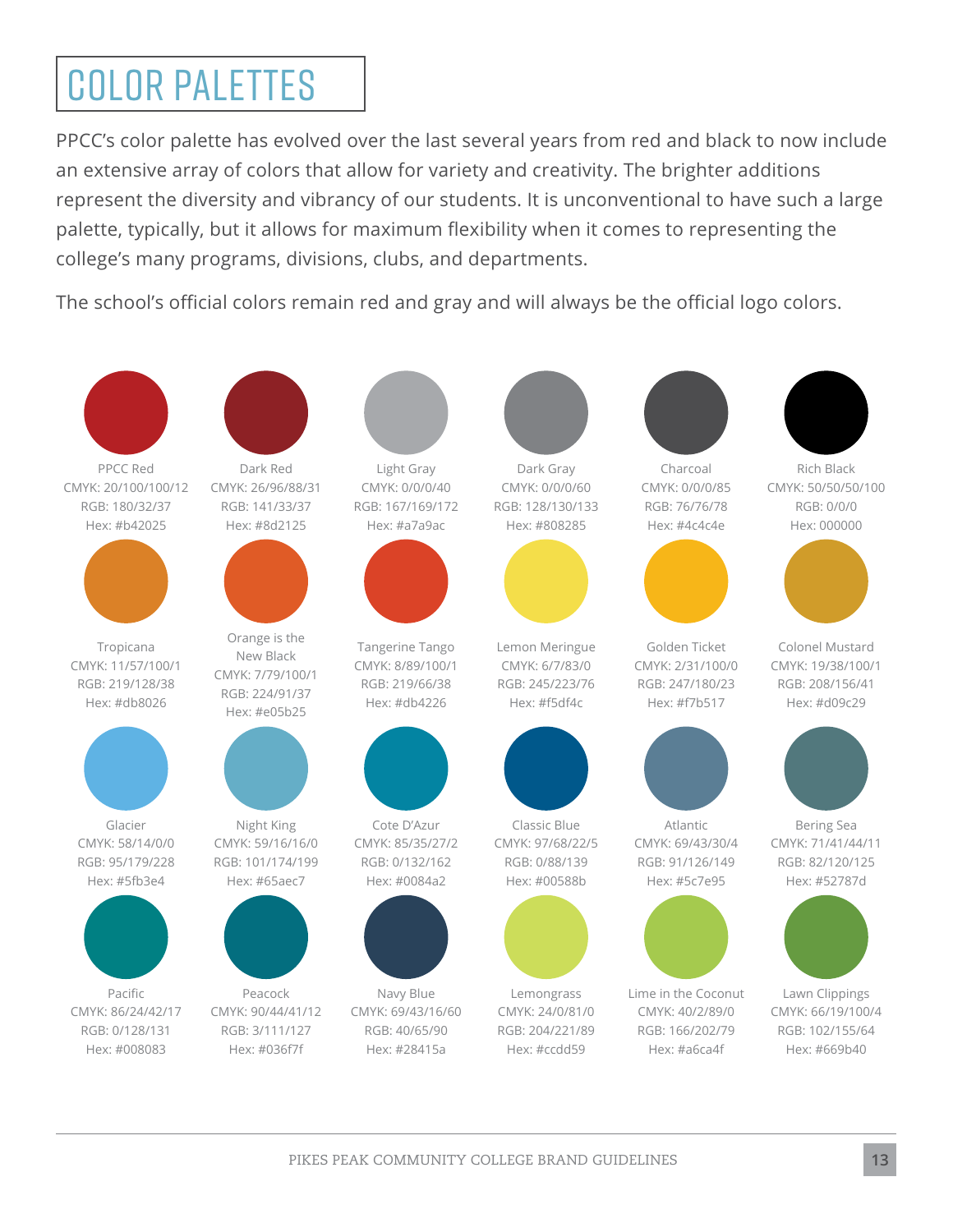## COLOR PALETTES

PPCC's color palette has evolved over the last several years from red and black to now include an extensive array of colors that allow for variety and creativity. The brighter additions represent the diversity and vibrancy of our students. It is unconventional to have such a large palette, typically, but it allows for maximum flexibility when it comes to representing the college's many programs, divisions, clubs, and departments.

The school's official colors remain red and gray and will always be the official logo colors.